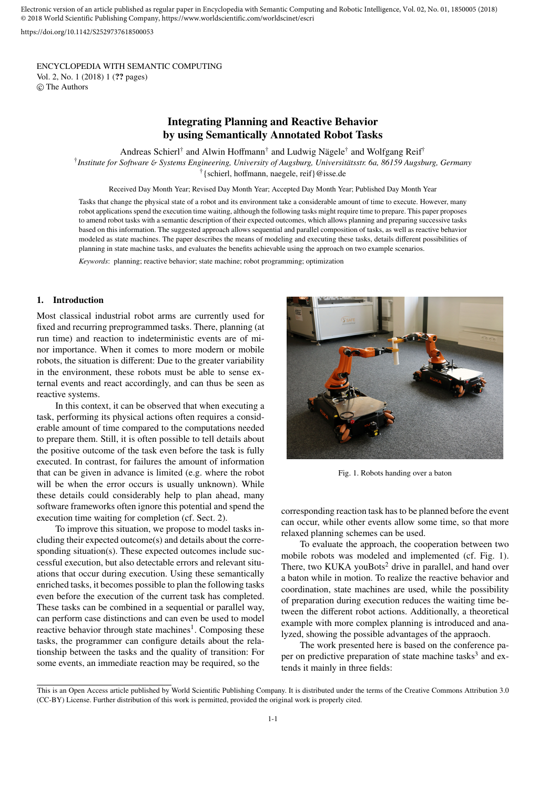Electronic version of an article published as regular paper in Encyclopedia with Semantic Computing and Robotic Intelligence, Vol. 02, No. 01, 1850005 (2018) © 2018 World Scientific Publishing Company, https://www.worldscientific.com/worldscinet/escri

https://doi.org/10.1142/S2529737618500053

ENCYCLOPEDIA WITH SEMANTIC COMPUTING Vol. 2, No. 1 (2018) 1 (?? pages) © The Authors

# Integrating Planning and Reactive Behavior by using Semantically Annotated Robot Tasks

Andreas Schierl<sup>†</sup> and Alwin Hoffmann<sup>†</sup> and Ludwig Nägele<sup>†</sup> and Wolfgang Reif<sup>†</sup>

† *Institute for Software* & *Systems Engineering, University of Augsburg, Universitätsstr. 6a, 86159 Augsburg, Germany* † {schierl, hoffmann, naegele, reif}@isse.de

Received Day Month Year; Revised Day Month Year; Accepted Day Month Year; Published Day Month Year

Tasks that change the physical state of a robot and its environment take a considerable amount of time to execute. However, many robot applications spend the execution time waiting, although the following tasks might require time to prepare. This paper proposes to amend robot tasks with a semantic description of their expected outcomes, which allows planning and preparing successive tasks based on this information. The suggested approach allows sequential and parallel composition of tasks, as well as reactive behavior modeled as state machines. The paper describes the means of modeling and executing these tasks, details different possibilities of planning in state machine tasks, and evaluates the benefits achievable using the approach on two example scenarios.

*Keywords*: planning; reactive behavior; state machine; robot programming; optimization

# 1. Introduction

Most classical industrial robot arms are currently used for fixed and recurring preprogrammed tasks. There, planning (at run time) and reaction to indeterministic events are of minor importance. When it comes to more modern or mobile robots, the situation is different: Due to the greater variability in the environment, these robots must be able to sense external events and react accordingly, and can thus be seen as reactive systems.

In this context, it can be observed that when executing a task, performing its physical actions often requires a considerable amount of time compared to the computations needed to prepare them. Still, it is often possible to tell details about the positive outcome of the task even before the task is fully executed. In contrast, for failures the amount of information that can be given in advance is limited (e.g. where the robot will be when the error occurs is usually unknown). While these details could considerably help to plan ahead, many software frameworks often ignore this potential and spend the execution time waiting for completion (cf. Sect. 2).

To improve this situation, we propose to model tasks including their expected outcome(s) and details about the corresponding situation(s). These expected outcomes include successful execution, but also detectable errors and relevant situations that occur during execution. Using these semantically enriched tasks, it becomes possible to plan the following tasks even before the execution of the current task has completed. These tasks can be combined in a sequential or parallel way, can perform case distinctions and can even be used to model reactive behavior through state machines<sup>1</sup>. Composing these tasks, the programmer can configure details about the relationship between the tasks and the quality of transition: For some events, an immediate reaction may be required, so the



Fig. 1. Robots handing over a baton

corresponding reaction task has to be planned before the event can occur, while other events allow some time, so that more relaxed planning schemes can be used.

To evaluate the approach, the cooperation between two mobile robots was modeled and implemented (cf. Fig. 1). There, two KUKA youBots<sup>2</sup> drive in parallel, and hand over a baton while in motion. To realize the reactive behavior and coordination, state machines are used, while the possibility of preparation during execution reduces the waiting time between the different robot actions. Additionally, a theoretical example with more complex planning is introduced and analyzed, showing the possible advantages of the appraoch.

The work presented here is based on the conference paper on predictive preparation of state machine tasks<sup>3</sup> and extends it mainly in three fields:

This is an Open Access article published by World Scientific Publishing Company. It is distributed under the terms of the Creative Commons Attribution 3.0 (CC-BY) License. Further distribution of this work is permitted, provided the original work is properly cited.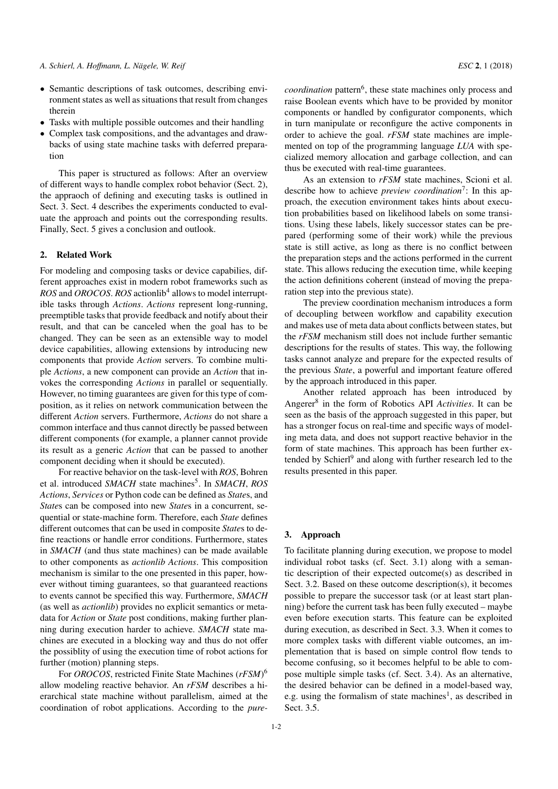- Semantic descriptions of task outcomes, describing environment states as well as situations that result from changes therein
- Tasks with multiple possible outcomes and their handling • Complex task compositions, and the advantages and drawbacks of using state machine tasks with deferred prepara-

This paper is structured as follows: After an overview of different ways to handle complex robot behavior (Sect. 2), the appraoch of defining and executing tasks is outlined in Sect. 3. Sect. 4 describes the experiments conducted to evaluate the approach and points out the corresponding results. Finally, Sect. 5 gives a conclusion and outlook.

#### 2. Related Work

tion

For modeling and composing tasks or device capabilies, different approaches exist in modern robot frameworks such as ROS and OROCOS. ROS actionlib<sup>4</sup> allows to model interruptible tasks through *Actions*. *Actions* represent long-running, preemptible tasks that provide feedback and notify about their result, and that can be canceled when the goal has to be changed. They can be seen as an extensible way to model device capabilities, allowing extensions by introducing new components that provide *Action* servers. To combine multiple *Actions*, a new component can provide an *Action* that invokes the corresponding *Actions* in parallel or sequentially. However, no timing guarantees are given for this type of composition, as it relies on network communication between the different *Action* servers. Furthermore, *Actions* do not share a common interface and thus cannot directly be passed between different components (for example, a planner cannot provide its result as a generic *Action* that can be passed to another component deciding when it should be executed).

For reactive behavior on the task-level with *ROS*, Bohren et al. introduced *SMACH* state machines<sup>5</sup>. In *SMACH*, *ROS Actions*, *Services* or Python code can be defined as *State*s, and *State*s can be composed into new *State*s in a concurrent, sequential or state-machine form. Therefore, each *State* defines different outcomes that can be used in composite *State*s to define reactions or handle error conditions. Furthermore, states in *SMACH* (and thus state machines) can be made available to other components as *actionlib Actions*. This composition mechanism is similar to the one presented in this paper, however without timing guarantees, so that guaranteed reactions to events cannot be specified this way. Furthermore, *SMACH* (as well as *actionlib*) provides no explicit semantics or metadata for *Action* or *State* post conditions, making further planning during execution harder to achieve. *SMACH* state machines are executed in a blocking way and thus do not offer the possiblity of using the execution time of robot actions for further (motion) planning steps.

For *OROCOS*, restricted Finite State Machines (*rFSM*) 6 allow modeling reactive behavior. An *rFSM* describes a hierarchical state machine without parallelism, aimed at the coordination of robot applications. According to the *pure-* coordination pattern<sup>6</sup>, these state machines only process and raise Boolean events which have to be provided by monitor components or handled by configurator components, which in turn manipulate or reconfigure the active components in order to achieve the goal. *rFSM* state machines are implemented on top of the programming language *LUA* with specialized memory allocation and garbage collection, and can thus be executed with real-time guarantees.

As an extension to *rFSM* state machines, Scioni et al. describe how to achieve *preview coordination*<sup>7</sup> : In this approach, the execution environment takes hints about execution probabilities based on likelihood labels on some transitions. Using these labels, likely successor states can be prepared (performing some of their work) while the previous state is still active, as long as there is no conflict between the preparation steps and the actions performed in the current state. This allows reducing the execution time, while keeping the action definitions coherent (instead of moving the preparation step into the previous state).

The preview coordination mechanism introduces a form of decoupling between workflow and capability execution and makes use of meta data about conflicts between states, but the *rFSM* mechanism still does not include further semantic descriptions for the results of states. This way, the following tasks cannot analyze and prepare for the expected results of the previous *State*, a powerful and important feature offered by the approach introduced in this paper.

Another related approach has been introduced by Angerer<sup>8</sup> in the form of Robotics API *Activities*. It can be seen as the basis of the approach suggested in this paper, but has a stronger focus on real-time and specific ways of modeling meta data, and does not support reactive behavior in the form of state machines. This approach has been further extended by Schierl<sup>9</sup> and along with further research led to the results presented in this paper.

#### 3. Approach

To facilitate planning during execution, we propose to model individual robot tasks (cf. Sect. 3.1) along with a semantic description of their expected outcome(s) as described in Sect. 3.2. Based on these outcome description(s), it becomes possible to prepare the successor task (or at least start planning) before the current task has been fully executed – maybe even before execution starts. This feature can be exploited during execution, as described in Sect. 3.3. When it comes to more complex tasks with different viable outcomes, an implementation that is based on simple control flow tends to become confusing, so it becomes helpful to be able to compose multiple simple tasks (cf. Sect. 3.4). As an alternative, the desired behavior can be defined in a model-based way, e.g. using the formalism of state machines<sup>1</sup>, as described in Sect. 3.5.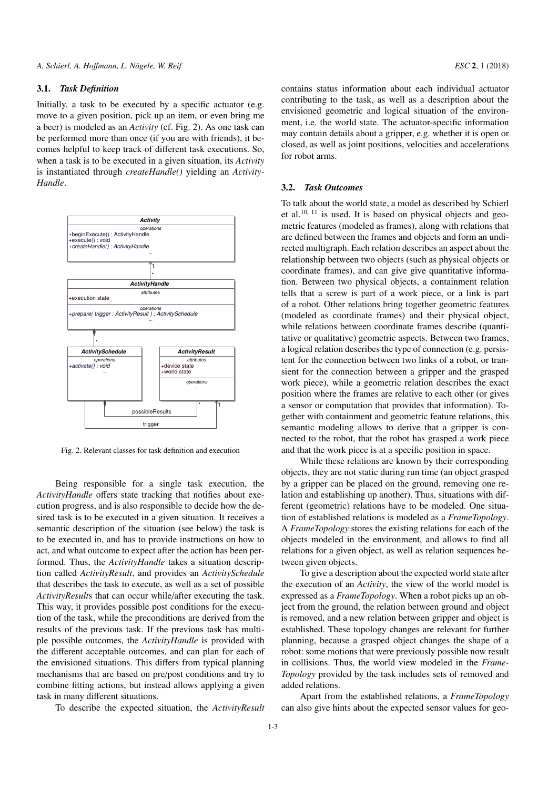### 3.1. *Task Definition*

Initially, a task to be executed by a specific actuator (e.g. move to a given position, pick up an item, or even bring me a beer) is modeled as an *Activity* (cf. Fig. 2). As one task can be performed more than once (if you are with friends), it becomes helpful to keep track of different task executions. So, when a task is to be executed in a given situation, its *Activity* is instantiated through *createHandle()* yielding an *Activity-Handle*.



Fig. 2. Relevant classes for task definition and execution

Being responsible for a single task execution, the *ActivityHandle* offers state tracking that notifies about execution progress, and is also responsible to decide how the desired task is to be executed in a given situation. It receives a semantic description of the situation (see below) the task is to be executed in, and has to provide instructions on how to act, and what outcome to expect after the action has been performed. Thus, the *ActivityHandle* takes a situation description called *ActivityResult*, and provides an *ActivitySchedule* that describes the task to execute, as well as a set of possible *ActivityResult*s that can occur while/after executing the task. This way, it provides possible post conditions for the execution of the task, while the preconditions are derived from the results of the previous task. If the previous task has multiple possible outcomes, the *ActivityHandle* is provided with the different acceptable outcomes, and can plan for each of the envisioned situations. This differs from typical planning mechanisms that are based on pre/post conditions and try to combine fitting actions, but instead allows applying a given task in many different situations.

To describe the expected situation, the *ActivityResult*

contains status information about each individual actuator contributing to the task, as well as a description about the envisioned geometric and logical situation of the environment, i.e. the world state. The actuator-specific information may contain details about a gripper, e.g. whether it is open or closed, as well as joint positions, velocities and accelerations for robot arms.

## 3.2. *Task Outcomes*

To talk about the world state, a model as described by Schierl et al.<sup>10</sup>, <sup>11</sup> is used. It is based on physical objects and geometric features (modeled as frames), along with relations that are defined between the frames and objects and form an undirected multigraph. Each relation describes an aspect about the relationship between two objects (such as physical objects or coordinate frames), and can give give quantitative information. Between two physical objects, a containment relation tells that a screw is part of a work piece, or a link is part of a robot. Other relations bring together geometric features (modeled as coordinate frames) and their physical object, while relations between coordinate frames describe (quantitative or qualitative) geometric aspects. Between two frames, a logical relation describes the type of connection (e.g. persistent for the connection between two links of a robot, or transient for the connection between a gripper and the grasped work piece), while a geometric relation describes the exact position where the frames are relative to each other (or gives a sensor or computation that provides that information). Together with containment and geometric feature relations, this semantic modeling allows to derive that a gripper is connected to the robot, that the robot has grasped a work piece and that the work piece is at a specific position in space.

While these relations are known by their corresponding objects, they are not static during run time (an object grasped by a gripper can be placed on the ground, removing one relation and establishing up another). Thus, situations with different (geometric) relations have to be modeled. One situation of established relations is modeled as a *FrameTopology*. A *FrameTopology* stores the existing relations for each of the objects modeled in the environment, and allows to find all relations for a given object, as well as relation sequences between given objects.

To give a description about the expected world state after the execution of an *Activity*, the view of the world model is expressed as a *FrameTopology*. When a robot picks up an object from the ground, the relation between ground and object is removed, and a new relation between gripper and object is established. These topology changes are relevant for further planning, because a grasped object changes the shape of a robot: some motions that were previously possible now result in collisions. Thus, the world view modeled in the *Frame-Topology* provided by the task includes sets of removed and added relations.

Apart from the established relations, a *FrameTopology* can also give hints about the expected sensor values for geo-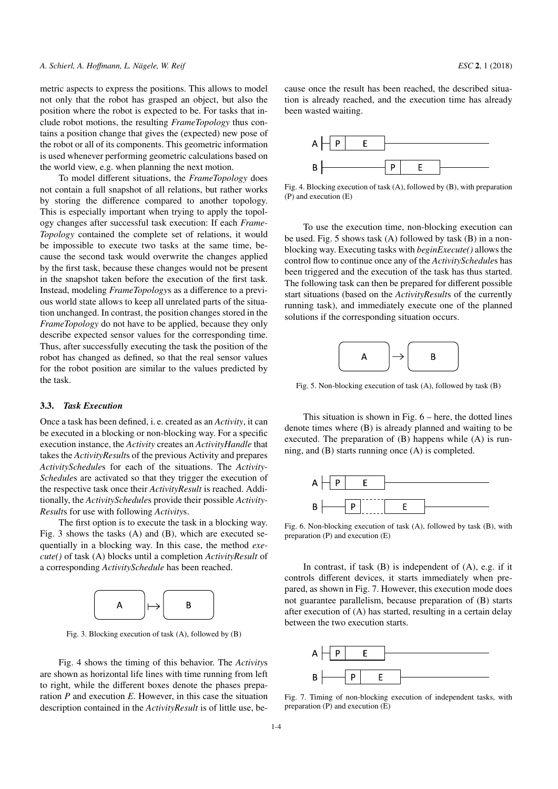metric aspects to express the positions. This allows to model not only that the robot has grasped an object, but also the position where the robot is expected to be. For tasks that include robot motions, the resulting *FrameTopology* thus contains a position change that gives the (expected) new pose of the robot or all of its components. This geometric information is used whenever performing geometric calculations based on the world view, e.g. when planning the next motion.

To model different situations, the *FrameTopology* does not contain a full snapshot of all relations, but rather works by storing the difference compared to another topology. This is especially important when trying to apply the topology changes after successful task execution: If each *Frame-Topology* contained the complete set of relations, it would be impossible to execute two tasks at the same time, because the second task would overwrite the changes applied by the first task, because these changes would not be present in the snapshot taken before the execution of the first task. Instead, modeling *FrameTopology*s as a difference to a previous world state allows to keep all unrelated parts of the situation unchanged. In contrast, the position changes stored in the *FrameTopology* do not have to be applied, because they only describe expected sensor values for the corresponding time. Thus, after successfully executing the task the position of the robot has changed as defined, so that the real sensor values for the robot position are similar to the values predicted by the task.

# 3.3. *Task Execution*

Once a task has been defined, i. e. created as an *Activity*, it can be executed in a blocking or non-blocking way. For a specific execution instance, the *Activity* creates an *ActivityHandle* that takes the *ActivityResult*s of the previous Activity and prepares *ActivitySchedule*s for each of the situations. The *Activity-Schedule*s are activated so that they trigger the execution of the respective task once their *ActivityResult* is reached. Additionally, the *ActivitySchedule*s provide their possible *Activity-Result*s for use with following *Activity*s.

The first option is to execute the task in a blocking way. Fig. 3 shows the tasks (A) and (B), which are executed sequentially in a blocking way. In this case, the method *execute()* of task (A) blocks until a completion *ActivityResult* of a corresponding *ActivitySchedule* has been reached.



Fig. 3. Blocking execution of task (A), followed by (B)

Fig. 4 shows the timing of this behavior. The *Activity*s are shown as horizontal life lines with time running from left to right, while the different boxes denote the phases preparation *P* and execution *E*. However, in this case the situation description contained in the *ActivityResult* is of little use, because once the result has been reached, the described situation is already reached, and the execution time has already been wasted waiting.



Fig. 4. Blocking execution of task (A), followed by (B), with preparation (P) and execution (E)

To use the execution time, non-blocking execution can be used. Fig. 5 shows task (A) followed by task (B) in a nonblocking way. Executing tasks with *beginExecute()* allows the control flow to continue once any of the *ActivitySchedule*s has been triggered and the execution of the task has thus started. The following task can then be prepared for different possible start situations (based on the *ActivityResult*s of the currently running task), and immediately execute one of the planned solutions if the corresponding situation occurs.



Fig. 5. Non-blocking execution of task (A), followed by task (B)

This situation is shown in Fig.  $6$  – here, the dotted lines denote times where (B) is already planned and waiting to be executed. The preparation of (B) happens while (A) is running, and (B) starts running once (A) is completed.



Fig. 6. Non-blocking execution of task (A), followed by task (B), with preparation (P) and execution (E)

In contrast, if task (B) is independent of (A), e.g. if it controls different devices, it starts immediately when prepared, as shown in Fig. 7. However, this execution mode does not guarantee parallelism, because preparation of (B) starts after execution of (A) has started, resulting in a certain delay between the two execution starts.



Fig. 7. Timing of non-blocking execution of independent tasks, with preparation (P) and execution (E)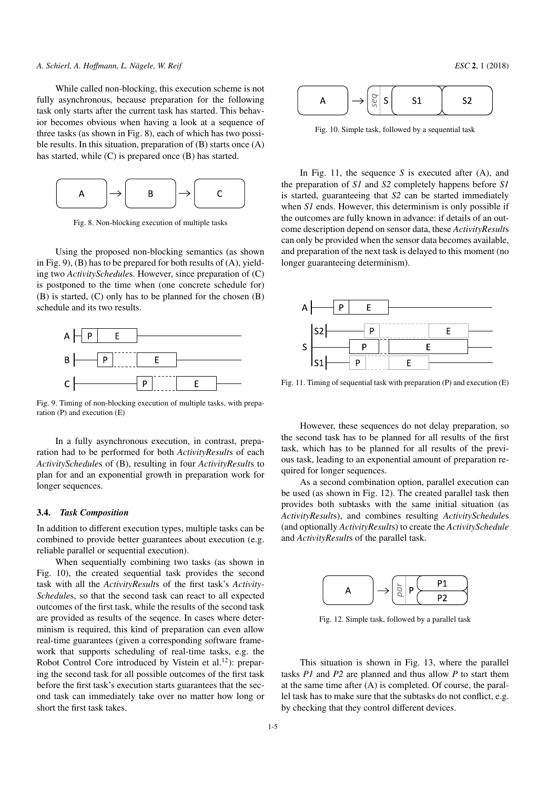# *A. Schierl, A. Ho*ff*mann, L. Nägele, W. Reif ESC* 2, 1 (2018)

While called non-blocking, this execution scheme is not fully asynchronous, because preparation for the following task only starts after the current task has started. This behavior becomes obvious when having a look at a sequence of three tasks (as shown in Fig. 8), each of which has two possible results. In this situation, preparation of (B) starts once (A) has started, while (C) is prepared once (B) has started.



Fig. 8. Non-blocking execution of multiple tasks

Using the proposed non-blocking semantics (as shown in Fig. 9), (B) has to be prepared for both results of  $(A)$ , yielding two *ActivitySchedule*s. However, since preparation of (C) is postponed to the time when (one concrete schedule for) (B) is started, (C) only has to be planned for the chosen (B) schedule and its two results.



Fig. 9. Timing of non-blocking execution of multiple tasks, with preparation (P) and execution (E)

In a fully asynchronous execution, in contrast, preparation had to be performed for both *ActivityResult*s of each *ActivitySchedule*s of (B), resulting in four *ActivityResult*s to plan for and an exponential growth in preparation work for longer sequences.

### 3.4. *Task Composition*

In addition to different execution types, multiple tasks can be combined to provide better guarantees about execution (e.g. reliable parallel or sequential execution).

When sequentially combining two tasks (as shown in Fig. 10), the created sequential task provides the second task with all the *ActivityResult*s of the first task's *Activity-Schedule*s, so that the second task can react to all expected outcomes of the first task, while the results of the second task are provided as results of the seqence. In cases where determinism is required, this kind of preparation can even allow real-time guarantees (given a corresponding software framework that supports scheduling of real-time tasks, e.g. the Robot Control Core introduced by Vistein et al.<sup>12</sup>): preparing the second task for all possible outcomes of the first task before the first task's execution starts guarantees that the second task can immediately take over no matter how long or short the first task takes.



Fig. 10. Simple task, followed by a sequential task

In Fig. 11, the sequence *S* is executed after (A), and the preparation of *S1* and *S2* completely happens before *S1* is started, guaranteeing that *S2* can be started immediately when *S1* ends. However, this determinism is only possible if the outcomes are fully known in advance: if details of an outcome description depend on sensor data, these *ActivityResult*s can only be provided when the sensor data becomes available, and preparation of the next task is delayed to this moment (no longer guaranteeing determinism).



Fig. 11. Timing of sequential task with preparation (P) and execution (E)

However, these sequences do not delay preparation, so the second task has to be planned for all results of the first task, which has to be planned for all results of the previous task, leading to an exponential amount of preparation required for longer sequences.

As a second combination option, parallel execution can be used (as shown in Fig. 12). The created parallel task then provides both subtasks with the same initial situation (as *ActivityResult*s), and combines resulting *ActivitySchedule*s (and optionally *ActivityResult*s) to create the *ActivitySchedule* and *ActivityResult*s of the parallel task.



Fig. 12. Simple task, followed by a parallel task

This situation is shown in Fig. 13, where the parallel tasks *P1* and *P2* are planned and thus allow *P* to start them at the same time after (A) is completed. Of course, the parallel task has to make sure that the subtasks do not conflict, e.g. by checking that they control different devices.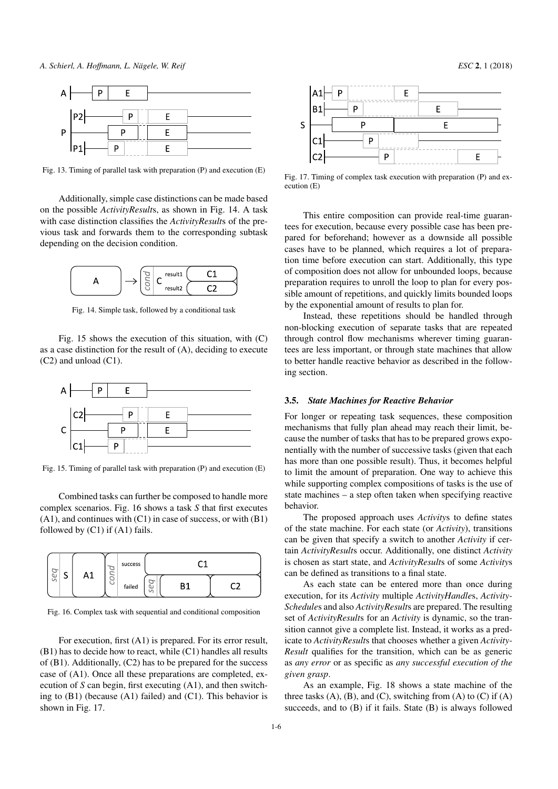

Fig. 13. Timing of parallel task with preparation (P) and execution (E)

Additionally, simple case distinctions can be made based on the possible *ActivityResult*s, as shown in Fig. 14. A task with case distinction classifies the *ActivityResult*s of the previous task and forwards them to the corresponding subtask depending on the decision condition.



Fig. 14. Simple task, followed by a conditional task

Fig. 15 shows the execution of this situation, with (C) as a case distinction for the result of (A), deciding to execute (C2) and unload (C1).



Fig. 15. Timing of parallel task with preparation (P) and execution (E)

Combined tasks can further be composed to handle more complex scenarios. Fig. 16 shows a task *S* that first executes (A1), and continues with (C1) in case of success, or with (B1) followed by  $(C1)$  if  $(A1)$  fails.



Fig. 16. Complex task with sequential and conditional composition

For execution, first (A1) is prepared. For its error result, (B1) has to decide how to react, while (C1) handles all results of (B1). Additionally, (C2) has to be prepared for the success case of (A1). Once all these preparations are completed, execution of *S* can begin, first executing (A1), and then switching to  $(B1)$  (because  $(A1)$  failed) and  $(C1)$ . This behavior is shown in Fig. 17.



Fig. 17. Timing of complex task execution with preparation (P) and execution (E)

This entire composition can provide real-time guarantees for execution, because every possible case has been prepared for beforehand; however as a downside all possible cases have to be planned, which requires a lot of preparation time before execution can start. Additionally, this type of composition does not allow for unbounded loops, because preparation requires to unroll the loop to plan for every possible amount of repetitions, and quickly limits bounded loops by the exponential amount of results to plan for.

Instead, these repetitions should be handled through non-blocking execution of separate tasks that are repeated through control flow mechanisms wherever timing guarantees are less important, or through state machines that allow to better handle reactive behavior as described in the following section.

## 3.5. *State Machines for Reactive Behavior*

For longer or repeating task sequences, these composition mechanisms that fully plan ahead may reach their limit, because the number of tasks that has to be prepared grows exponentially with the number of successive tasks (given that each has more than one possible result). Thus, it becomes helpful to limit the amount of preparation. One way to achieve this while supporting complex compositions of tasks is the use of state machines – a step often taken when specifying reactive behavior.

The proposed approach uses *Activity*s to define states of the state machine. For each state (or *Activity*), transitions can be given that specify a switch to another *Activity* if certain *ActivityResult*s occur. Additionally, one distinct *Activity* is chosen as start state, and *ActivityResult*s of some *Activity*s can be defined as transitions to a final state.

As each state can be entered more than once during execution, for its *Activity* multiple *ActivityHandle*s, *Activity-Schedule*s and also *ActivityResult*s are prepared. The resulting set of *ActivityResult*s for an *Activity* is dynamic, so the transition cannot give a complete list. Instead, it works as a predicate to *ActivityResult*s that chooses whether a given *Activity-Result* qualifies for the transition, which can be as generic as *any error* or as specific as *any successful execution of the given grasp*.

As an example, Fig. 18 shows a state machine of the three tasks  $(A)$ ,  $(B)$ , and  $(C)$ , switching from  $(A)$  to  $(C)$  if  $(A)$ succeeds, and to (B) if it fails. State (B) is always followed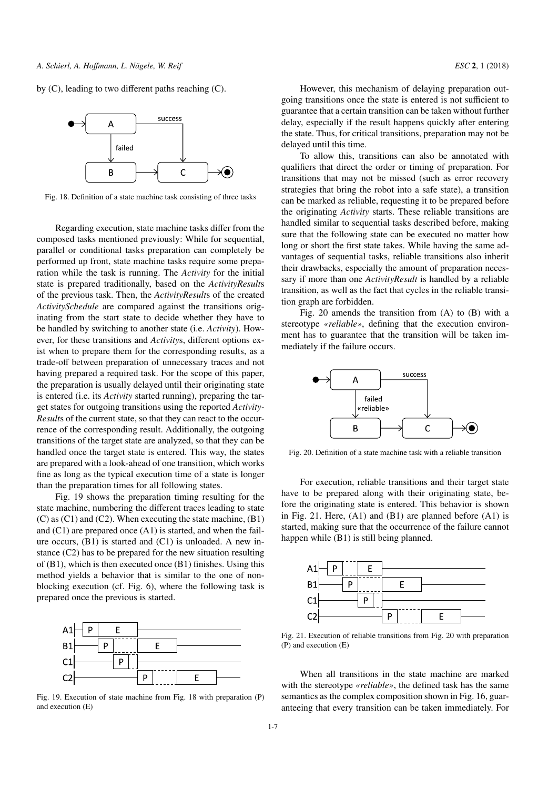by (C), leading to two different paths reaching (C).



Fig. 18. Definition of a state machine task consisting of three tasks

Regarding execution, state machine tasks differ from the composed tasks mentioned previously: While for sequential, parallel or conditional tasks preparation can completely be performed up front, state machine tasks require some preparation while the task is running. The *Activity* for the initial state is prepared traditionally, based on the *ActivityResult*s of the previous task. Then, the *ActivityResult*s of the created *ActivitySchedule* are compared against the transitions originating from the start state to decide whether they have to be handled by switching to another state (i.e. *Activity*). However, for these transitions and *Activity*s, different options exist when to prepare them for the corresponding results, as a trade-off between preparation of unnecessary traces and not having prepared a required task. For the scope of this paper, the preparation is usually delayed until their originating state is entered (i.e. its *Activity* started running), preparing the target states for outgoing transitions using the reported *Activity-Result*s of the current state, so that they can react to the occurrence of the corresponding result. Additionally, the outgoing transitions of the target state are analyzed, so that they can be handled once the target state is entered. This way, the states are prepared with a look-ahead of one transition, which works fine as long as the typical execution time of a state is longer than the preparation times for all following states.

Fig. 19 shows the preparation timing resulting for the state machine, numbering the different traces leading to state  $(C)$  as  $(C1)$  and  $(C2)$ . When executing the state machine,  $(B1)$ and (C1) are prepared once (A1) is started, and when the failure occurs, (B1) is started and (C1) is unloaded. A new instance (C2) has to be prepared for the new situation resulting of (B1), which is then executed once (B1) finishes. Using this method yields a behavior that is similar to the one of nonblocking execution (cf. Fig. 6), where the following task is prepared once the previous is started.



Fig. 19. Execution of state machine from Fig. 18 with preparation (P) and execution (E)

However, this mechanism of delaying preparation outgoing transitions once the state is entered is not sufficient to guarantee that a certain transition can be taken without further delay, especially if the result happens quickly after entering the state. Thus, for critical transitions, preparation may not be delayed until this time.

To allow this, transitions can also be annotated with qualifiers that direct the order or timing of preparation. For transitions that may not be missed (such as error recovery strategies that bring the robot into a safe state), a transition can be marked as reliable, requesting it to be prepared before the originating *Activity* starts. These reliable transitions are handled similar to sequential tasks described before, making sure that the following state can be executed no matter how long or short the first state takes. While having the same advantages of sequential tasks, reliable transitions also inherit their drawbacks, especially the amount of preparation necessary if more than one *ActivityResult* is handled by a reliable transition, as well as the fact that cycles in the reliable transition graph are forbidden.

Fig. 20 amends the transition from (A) to (B) with a stereotype *«reliable»*, defining that the execution environment has to guarantee that the transition will be taken immediately if the failure occurs.



Fig. 20. Definition of a state machine task with a reliable transition

For execution, reliable transitions and their target state have to be prepared along with their originating state, before the originating state is entered. This behavior is shown in Fig. 21. Here, (A1) and (B1) are planned before (A1) is started, making sure that the occurrence of the failure cannot happen while (B1) is still being planned.



Fig. 21. Execution of reliable transitions from Fig. 20 with preparation (P) and execution (E)

When all transitions in the state machine are marked with the stereotype *«reliable»*, the defined task has the same semantics as the complex composition shown in Fig. 16, guaranteeing that every transition can be taken immediately. For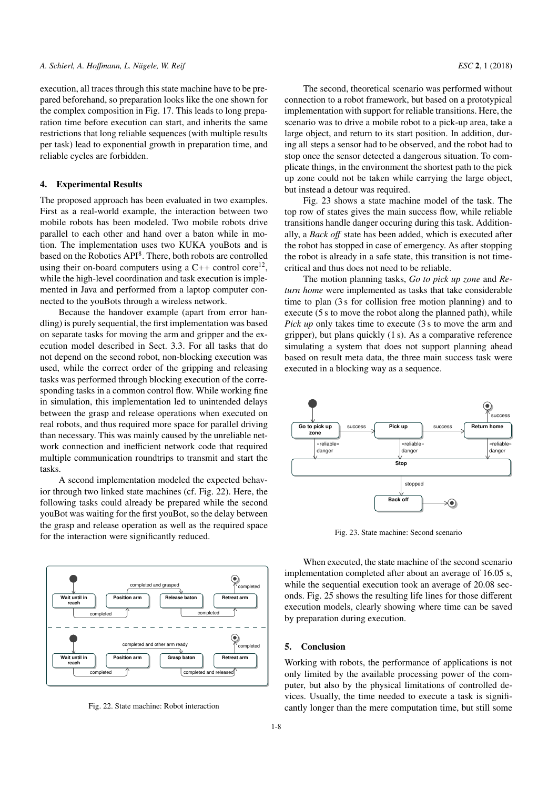execution, all traces through this state machine have to be prepared beforehand, so preparation looks like the one shown for the complex composition in Fig. 17. This leads to long preparation time before execution can start, and inherits the same restrictions that long reliable sequences (with multiple results per task) lead to exponential growth in preparation time, and reliable cycles are forbidden.

# 4. Experimental Results

The proposed approach has been evaluated in two examples. First as a real-world example, the interaction between two mobile robots has been modeled. Two mobile robots drive parallel to each other and hand over a baton while in motion. The implementation uses two KUKA youBots and is based on the Robotics API<sup>8</sup>. There, both robots are controlled using their on-board computers using a C++ control core<sup>12</sup>, while the high-level coordination and task execution is implemented in Java and performed from a laptop computer connected to the youBots through a wireless network.

Because the handover example (apart from error handling) is purely sequential, the first implementation was based on separate tasks for moving the arm and gripper and the execution model described in Sect. 3.3. For all tasks that do not depend on the second robot, non-blocking execution was used, while the correct order of the gripping and releasing tasks was performed through blocking execution of the corresponding tasks in a common control flow. While working fine in simulation, this implementation led to unintended delays between the grasp and release operations when executed on real robots, and thus required more space for parallel driving than necessary. This was mainly caused by the unreliable network connection and inefficient network code that required multiple communication roundtrips to transmit and start the tasks.

A second implementation modeled the expected behavior through two linked state machines (cf. Fig. 22). Here, the following tasks could already be prepared while the second youBot was waiting for the first youBot, so the delay between the grasp and release operation as well as the required space for the interaction were significantly reduced.



Fig. 22. State machine: Robot interaction

The second, theoretical scenario was performed without connection to a robot framework, but based on a prototypical implementation with support for reliable transitions. Here, the scenario was to drive a mobile robot to a pick-up area, take a large object, and return to its start position. In addition, during all steps a sensor had to be observed, and the robot had to stop once the sensor detected a dangerous situation. To complicate things, in the environment the shortest path to the pick up zone could not be taken while carrying the large object, but instead a detour was required.

Fig. 23 shows a state machine model of the task. The top row of states gives the main success flow, while reliable transitions handle danger occuring during this task. Additionally, a *Back o*ff state has been added, which is executed after the robot has stopped in case of emergency. As after stopping the robot is already in a safe state, this transition is not timecritical and thus does not need to be reliable.

The motion planning tasks, *Go to pick up zone* and *Return home* were implemented as tasks that take considerable time to plan (3 s for collision free motion planning) and to execute (5 s to move the robot along the planned path), while *Pick up* only takes time to execute (3 s to move the arm and gripper), but plans quickly (1 s). As a comparative reference simulating a system that does not support planning ahead based on result meta data, the three main success task were executed in a blocking way as a sequence.



Fig. 23. State machine: Second scenario

When executed, the state machine of the second scenario implementation completed after about an average of 16.05 s, while the sequential execution took an average of 20.08 seconds. Fig. 25 shows the resulting life lines for those different execution models, clearly showing where time can be saved by preparation during execution.

## 5. Conclusion

Working with robots, the performance of applications is not only limited by the available processing power of the computer, but also by the physical limitations of controlled devices. Usually, the time needed to execute a task is significantly longer than the mere computation time, but still some